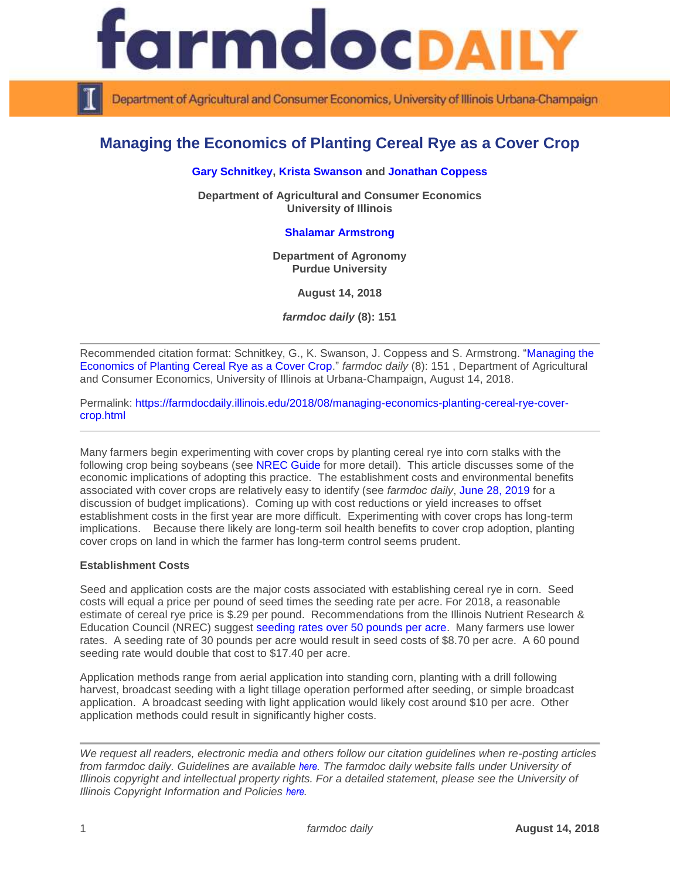

Department of Agricultural and Consumer Economics, University of Illinois Urbana-Champaign

# **Managing the Economics of Planting Cereal Rye as a Cover Crop**

## **[Gary Schnitkey,](http://farmdoc.illinois.edu/schnitkey) [Krista Swanson](https://ace.illinois.edu/directory/krista) and [Jonathan Coppess](http://farmdoc.illinois.edu/coppess)**

**Department of Agricultural and Consumer Economics University of Illinois**

# **[Shalamar Armstrong](https://ag.purdue.edu/agry/directory/Pages/Profile.aspx?strAlias=sarmstro&intDirDeptID=7)**

**Department of Agronomy Purdue University**

**August 14, 2018**

*farmdoc daily* **(8): 151**

Recommended citation format: Schnitkey, G., K. Swanson, J. Coppess and S. Armstrong. ["Managing the](https://farmdocdaily.illinois.edu/2018/08/managing-economics-planting-cereal-rye-cover-crop.html)  [Economics of Planting Cereal Rye as a Cover Crop.](https://farmdocdaily.illinois.edu/2018/08/managing-economics-planting-cereal-rye-cover-crop.html)" *farmdoc daily* (8): 151 , Department of Agricultural and Consumer Economics, University of Illinois at Urbana-Champaign, August 14, 2018.

Permalink: [https://farmdocdaily.illinois.edu/2018/08/managing-economics-planting-cereal-rye-cover](https://farmdocdaily.illinois.edu/2018/08/managing-economics-planting-cereal-rye-cover-crop.html)[crop.html](https://farmdocdaily.illinois.edu/2018/08/managing-economics-planting-cereal-rye-cover-crop.html)

Many farmers begin experimenting with cover crops by planting cereal rye into corn stalks with the following crop being soybeans (see [NREC Guide](https://www.ifca.com/media/web/1507152828_NREC%20Cover%20Crop%20Guide.pdf) for more detail). This article discusses some of the economic implications of adopting this practice. The establishment costs and environmental benefits associated with cover crops are relatively easy to identify (see *farmdoc daily*, [June 28, 2019](https://farmdocdaily.illinois.edu/2018/06/understanding-budget-implications-of-cover-crops.html) for a discussion of budget implications). Coming up with cost reductions or yield increases to offset establishment costs in the first year are more difficult. Experimenting with cover crops has long-term implications. Because there likely are long-term soil health benefits to cover crop adoption, planting cover crops on land in which the farmer has long-term control seems prudent.

### **Establishment Costs**

Seed and application costs are the major costs associated with establishing cereal rye in corn. Seed costs will equal a price per pound of seed times the seeding rate per acre. For 2018, a reasonable estimate of cereal rye price is \$.29 per pound. Recommendations from the Illinois Nutrient Research & Education Council (NREC) suggest [seeding rates over 50 pounds per acre.](https://www.ifca.com/media/web/1507152828_NREC%20Cover%20Crop%20Guide.pdf) Many farmers use lower rates. A seeding rate of 30 pounds per acre would result in seed costs of \$8.70 per acre. A 60 pound seeding rate would double that cost to \$17.40 per acre.

Application methods range from aerial application into standing corn, planting with a drill following harvest, broadcast seeding with a light tillage operation performed after seeding, or simple broadcast application. A broadcast seeding with light application would likely cost around \$10 per acre. Other application methods could result in significantly higher costs.

*We request all readers, electronic media and others follow our citation guidelines when re-posting articles from farmdoc daily. Guidelines are available [here](http://farmdocdaily.illinois.edu/citationguide.html). The farmdoc daily website falls under University of Illinois copyright and intellectual property rights. For a detailed statement, please see the University of Illinois Copyright Information and Policies [here](http://www.cio.illinois.edu/policies/copyright/).*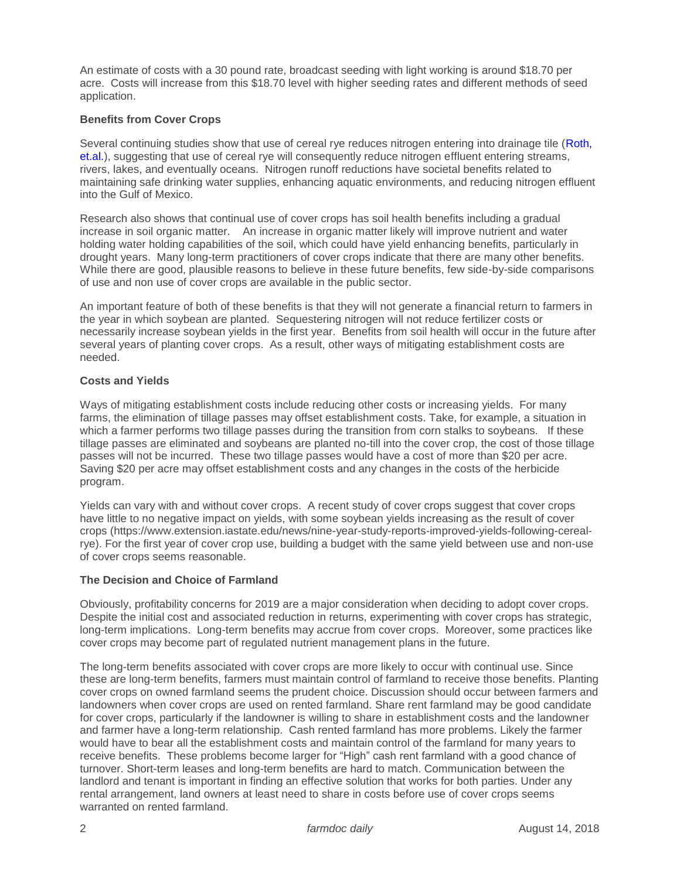An estimate of costs with a 30 pound rate, broadcast seeding with light working is around \$18.70 per acre. Costs will increase from this \$18.70 level with higher seeding rates and different methods of seed application.

## **Benefits from Cover Crops**

Several continuing studies show that use of cereal rye reduces nitrogen entering into drainage tile (Roth, [et.al.\)](https://www.sciencedirect.com/science/article/pii/S0308521X17304535), suggesting that use of cereal rye will consequently reduce nitrogen effluent entering streams, rivers, lakes, and eventually oceans. Nitrogen runoff reductions have societal benefits related to maintaining safe drinking water supplies, enhancing aquatic environments, and reducing nitrogen effluent into the Gulf of Mexico.

Research also shows that continual use of cover crops has soil health benefits including a gradual increase in soil organic matter. An increase in organic matter likely will improve nutrient and water holding water holding capabilities of the soil, which could have yield enhancing benefits, particularly in drought years. Many long-term practitioners of cover crops indicate that there are many other benefits. While there are good, plausible reasons to believe in these future benefits, few side-by-side comparisons of use and non use of cover crops are available in the public sector.

An important feature of both of these benefits is that they will not generate a financial return to farmers in the year in which soybean are planted. Sequestering nitrogen will not reduce fertilizer costs or necessarily increase soybean yields in the first year. Benefits from soil health will occur in the future after several years of planting cover crops. As a result, other ways of mitigating establishment costs are needed.

## **Costs and Yields**

Ways of mitigating establishment costs include reducing other costs or increasing yields. For many farms, the elimination of tillage passes may offset establishment costs. Take, for example, a situation in which a farmer performs two tillage passes during the transition from corn stalks to sovbeans. If these tillage passes are eliminated and soybeans are planted no-till into the cover crop, the cost of those tillage passes will not be incurred. These two tillage passes would have a cost of more than \$20 per acre. Saving \$20 per acre may offset establishment costs and any changes in the costs of the herbicide program.

Yields can vary with and without cover crops. A recent study of cover crops suggest that cover crops have little to no negative impact on yields, with some soybean yields increasing as the result of cover crops (https://www.extension.iastate.edu/news/nine-year-study-reports-improved-yields-following-cerealrye). For the first year of cover crop use, building a budget with the same yield between use and non-use of cover crops seems reasonable.

# **The Decision and Choice of Farmland**

Obviously, profitability concerns for 2019 are a major consideration when deciding to adopt cover crops. Despite the initial cost and associated reduction in returns, experimenting with cover crops has strategic, long-term implications. Long-term benefits may accrue from cover crops. Moreover, some practices like cover crops may become part of regulated nutrient management plans in the future.

The long-term benefits associated with cover crops are more likely to occur with continual use. Since these are long-term benefits, farmers must maintain control of farmland to receive those benefits. Planting cover crops on owned farmland seems the prudent choice. Discussion should occur between farmers and landowners when cover crops are used on rented farmland. Share rent farmland may be good candidate for cover crops, particularly if the landowner is willing to share in establishment costs and the landowner and farmer have a long-term relationship. Cash rented farmland has more problems. Likely the farmer would have to bear all the establishment costs and maintain control of the farmland for many years to receive benefits. These problems become larger for "High" cash rent farmland with a good chance of turnover. Short-term leases and long-term benefits are hard to match. Communication between the landlord and tenant is important in finding an effective solution that works for both parties. Under any rental arrangement, land owners at least need to share in costs before use of cover crops seems warranted on rented farmland.